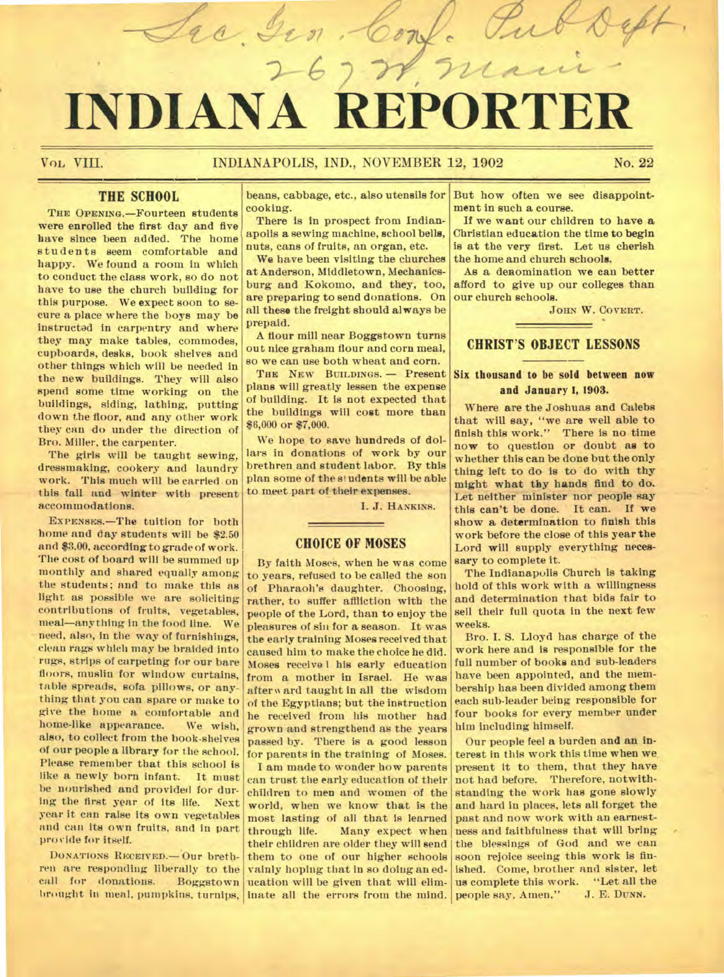# **INDIANA REPOR**

re Gen

Vol, VIII. INDIANAPOLIS, IND., NOVEMBER 12, 1902 No. 22

# **THE SCHOOL**

**THE OPENING.**—Fourteen students were enrolled the first day and five have since been added. The home students seem comfortable and happy. We found a room in Which to conduct the class work, so do not have to use the church building for this purpose. We expect soon to secure a place where the boys may be instructed in carpentry and where they may make tables, commodes, cupboards, desks, book shelves and other things which will be needed in the new buildings. They will also spend some time working on the buildings, siding, lathing, putting down the floor, and any other work they can do under the direction of Bro. Miller, the carpenter.

The girls will be taught sewing, dressmaking, cookery and laundry work. This much will be carried on this fall and winter with present accommodations.

**EXPENSES.—The** tuition for both home and day students will be \$2.50 and \$3.00, according to grade of work. The cost of board will be summed up monthly and shared equally among the students; and to make this as light as possible we are soliciting contributions of fruits, vegetables, meal—anything in the food line. We need, also, in the way of furnishings, clean rags which may be braided into rugs, strips of carpeting for our bare floors, muslin for window curtains, table spreads, sofa pillows, or anything that you can spare or make to give the home a comfortable and home-like appearance. We wish, also, to collect from the book-shelves of our people a library for the school. Please remember that this school is like a newly horn infant. It must be nourished and provided for during the first year of its life. Next year it can raise its own vegetables and can its own fruits, and in part provide for itself.

**DONATIONS RECEIVED.** Our brethren are responding liberally to the call for donations. Boggstown

beans, cabbage, etc., also utensils for cooking.

There is in prospect from Indianapolis a sewing machine, school bells, nuts, cans of fruits, an organ, etc.

We have been visiting the churches at Anderson, Middletown, Mechanicsburg and Kokomo, and they, too, are preparing to send donations. On all these the freight should always be prepaid.

A flour mill near Boggstown turns out nice graham flour and corn meal, so we can use both wheat and corn.

**THE NEW BUILDINGS. —** Present plans will greatly lessen the expense of building. It is not expected that the buildings will cost more than \$6,000 or \$7,000.

We hope to save hundreds of dollars in donations of work by our brethren and student labor. By this plan some of the sl udents will be able to meet part of their expenses.

I. J. **H ANKINS.** 

#### **CHOICE OF MOSES**

By faith Moses, when he was come to years, refused to be called the son of Pharaoh's daughter. Choosing, rather, to suffer affliction with the people of the Lord, than to enjoy the pleasures of sin for a season. It was the early training Moses received that caused him to make the choice he did. Moses receive I his early education from a mother in Israel. He was after w ard taught in all the wisdom of the Egyptians; but the instruction he received from his mother had grown and strengthend as the years passed by. There is a good lesson for parents in the training of Moses.

brought in meal, pumpkins, turnips, inate all the errors from the mind. I am made to wonder how parents can trust the early education of their children to men and women of the world, when we know that is the most lasting of all that is learned through life. Many expect when their children are older they will send them to one of our higher schools vainly hoping that in so doing an education will be given that will elim-

But how often we see disappointment in such a course.

 $2\pi$ 

 $\partial \mathcal{R}$ 

Tu

If we want our children to have a Christian education the time to begin is at the very first. Let us cherish the home and church schools.

As a denomination we can better afford to give up our colleges than our church schools.

**JOHN W. COVERT.** 

 $\overline{\phantom{a}}$ 

## CHRIST'S OBJECT LESSONS

#### Six thousand to be sold between now and January I, 1903.

Where are the Joshuas and Calebs that will say, "we are well able to finish this work." There is no time now to question or doubt as to whether this can be done but the only thing left to do is to do with thy might what thy hands find to do. Let neither minister nor people say this can't be done. It can. If we show a determination to finish this work before the close of this year the Lord will supply everything necessary to complete it.

The Indianapolis Church is taking hold of this work with a willingness and determination that bids fair to sell their full quota in the next few weeks.

Bro. I. S. Lloyd has charge of the work here and is responsible for the full number of books and sub-leaders have been appointed, and the membership has been divided among them each sub-leader being responsible for four books for every member under him including himself.

Our people feel a burden and an interest in this work this time when we present It to them, that they have not had before. Therefore, notwithstanding the work has gone slowly and hard in places, lets all forget the past and now work with an earnestness and faithfulness that will bring the blessings of God and we can soon rejoice seeing this work is finished. Come, brother and sister, let us complete this work. "Let all the people say, Amen," J. E. DUNN. people say, Amen,"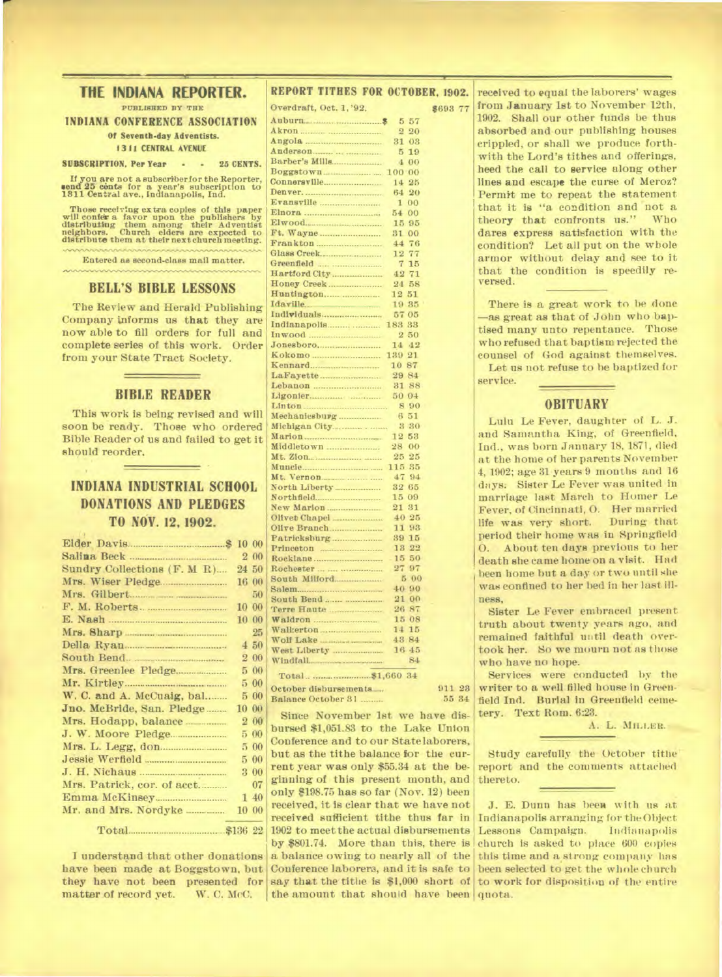### **THE INDIANA REPORTER.**

**PUBLISHED BY THE** 

**INDIANA CONFERENCE ASSOCIATION Of Seventh-day Adventists.** 

#### **13 L1 CENTRAL AVENUE**

**SUBSCRIPTION, Per Year • • 25 CENTS.** 

**Ifyou are not a subscrtberlor the Reporter, send 25 cents for a year's subscription to 1811 Centred ave., Indianapolis, Ind.** 

**Those receiving extra copies of this paper will confer a favor upon the publishers by distributing them among their Adventist neighbors. Church elders are expected to distribute them at their next church meeting.** 

**Entered as second-class mail matter.** 

#### **BELL'S BIBLE LESSONS**

The Review and Herald Publishing Company Informs us **that** they are now able to fill orders for full and complete series of this work. Order from your State Tract Society.

#### **BIBLE READER**

This work is being revised and will soon be ready. Those who ordered Bible Reader of us and failed to get it should reorder.

## **INDIANA INDUSTRIAL SCHOOL DONATIONS AND PLEDGES TO NOV. 12, 1902.**

|                             | 10 00 |       |
|-----------------------------|-------|-------|
|                             |       | 2 00  |
| Sundry Collections (F. M R) |       | 24 50 |
|                             |       | 16 00 |
|                             |       | 50    |
| F. M. Roberts.              |       | 10 00 |
|                             |       | 10 00 |
| Mrs. Sharp                  |       | 25    |
| Della Ryan                  |       | 4,50  |
| South Bend.                 |       | 2 00  |
| Mrs. Greenlee Pledge        |       | 500   |
|                             |       | 500   |
| W. C. and A. McCuaig, bal   |       | 500   |
| Jno. McBride, San. Pledge   | 10 00 |       |
|                             |       | 2 00  |
|                             | 5.    | 00    |
|                             |       | 5 00  |
| Jessie Werfield             |       | 500   |
|                             |       | 3 00  |
| Mrs. Patrick, cor. of acct  |       | 07    |
|                             |       | 140   |
| Mr. and Mrs. Nordyke        |       | 10 00 |
|                             |       |       |

I understand that other donations have been made at Boggstown, but they have not been presented for<br>matter of record yet. W. C. McC. matter of record yet.

| REPORT TITHES FOR OCTOBER, 1902.        |                      |          |
|-----------------------------------------|----------------------|----------|
| Overdraft, Oct. 1, '92.                 |                      | \$693 77 |
|                                         | 5 57                 |          |
|                                         | $\overline{2}$<br>20 |          |
|                                         | 31 03                |          |
| Anderson                                | 5<br>19              |          |
|                                         | 4<br>00              |          |
| Boggstown                               | 100 00               |          |
|                                         | 14 25                |          |
|                                         | 20<br>64             |          |
| Evansville                              | 00<br>1              |          |
|                                         | 54<br>00             |          |
|                                         | 15 95                |          |
|                                         | 31 00                |          |
| Frankton                                | 44<br>76             |          |
|                                         | 77<br>12             |          |
|                                         | $\tau$<br>15         |          |
|                                         | 42<br>71             |          |
| Honey Creek                             | 24 58                |          |
|                                         | 12 51                |          |
| Idaville.                               | 19 35                |          |
|                                         | 57 05                |          |
|                                         | 183 33               |          |
|                                         | 2 50                 |          |
|                                         | 14<br>42             |          |
|                                         | 139 21               |          |
|                                         | $10\,~87$            |          |
|                                         | 29 84<br>31 88       |          |
|                                         | 50 04                |          |
|                                         | 890                  |          |
| Mechanicsburg                           | 6 51                 |          |
|                                         | 3 30                 |          |
|                                         | 12 53                |          |
| Middletown                              | 28.<br>00            |          |
|                                         | 25 25                |          |
|                                         | 115 35               |          |
|                                         | 47<br>94             |          |
| North Liberty ____________              | 32 65                |          |
|                                         | 15 09                |          |
|                                         | 21 31                |          |
| Olivet Chapel                           | 4025                 |          |
|                                         | 11 93                |          |
|                                         | 39 15                |          |
|                                         | 13 22                |          |
|                                         | 15<br>50             |          |
|                                         | 27 97                |          |
| South Milford                           | 500                  |          |
|                                         | 40 90                |          |
| South Bend                              | 21 00                |          |
| Terre Haute                             | 26 87                |          |
|                                         | 15 08                |          |
|                                         | 14 15                |          |
| Wolf Lake                               | 43 84                |          |
|                                         | 16 45                |          |
|                                         | 84                   |          |
|                                         |                      |          |
| the state of the company of the company |                      |          |

October disbursements<sub>\_\_\_</sub> 911 23<br>Balance October 31 \_\_\_\_\_\_\_ 55 34 **Balance October 31** 

Since November 1st we have disbursed \$1,051.83 to the Lake Union Conference and to our State laborers, but as the tithe balance bor the current year was only \$55.34 at the beginning of this present month, and only \$198.75 has so far (Nov. 12) been received, it is clear that we have not received sufficient tithe thus far in 1902 to meet the actual disbursements by \$801.74. More than this, there is a balance owing to nearly all of the Conference laborers, and it is safe to the amount that should have been quota.

received to equal the laborers' wages from January lst to November 12th, 1902. Shall our other funds be thus absorbed and our publishing houses crippled, or shall we produce forthwith the Lord's tithes and offerings, heed the call to service along other lines and escape the curse of Meroz? Permit me to repeat the statement that it is "a condition and not a<br>theory that confronts us." Who theory that confronts us." dares express satisfaction with the condition? Let all put on the whole armor without delay and see to it that the condition is speedily reversed.

There is a great work to be done —as great as that of John who baptised many unto repentance. Those who refused that baptism rejected the counsel of God against themselves. Let us not refuse to he baptized for service.

#### **OBITUARY**

Lulu Le Fever, daughter of L. J. and Samantha King, of Greenfield, Ind., was born January 18, 1871, died at the home of her parents November 4, 1902; age 31 years 9 months and 16 days, Sister Le Fever was united in marriage last March to Homer Le Fever, of Cincinnati, 0. Her married life was very short. period their home was in Springfield 0. About ten days previous to her death she came home on a visit. Had been home but a day or two until she was confined to her bed in her last illness,

Sister Le Fever embraced present truth about twenty years ago, and remained faithful until death overtook her. So we mourn not as those who have no hope.

Services were conducted by the writer to a well filled house in Greenfield Ind. Burial in Greenfield cemetery. Text Rom. 6:23.

A. L. MILLER.

Study carefully the October tithe. report and the comments attaehed thereto.

say that the tithe is \$1,000 short of to work for disposition of the entire J. E. Dunn has been with us at Indianapolis arranging for **the** Object Lessons Campaign. church is asked to place 600 copies this time and a.strong company has been selected to get the whole church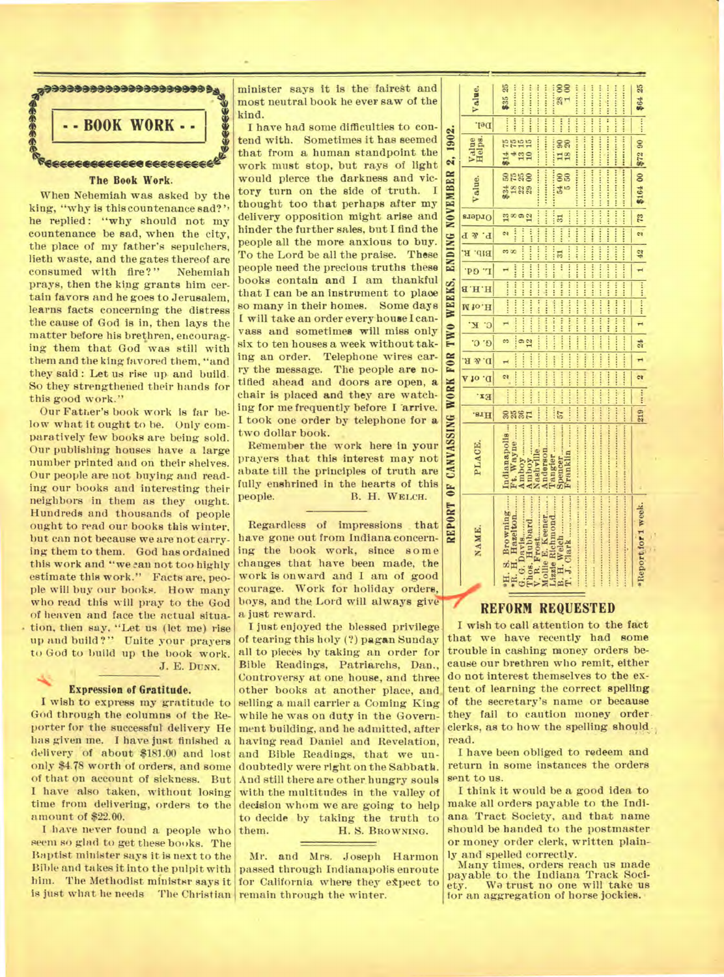

When Nehemiah was asked by the king, "why is this countenance sad? he replied: "why should not my countenance be sad, when the city, the place of my father's sepulchers, lieth waste, and the gates thereof are consumed with fire?" Nehemiah prays, then the king grants him certain favors and he goes to Jerusalem, learns facts concerning the distress the cause of God is in, then lays the matter before his brethren, encouraging them that God was still with them and the king favored them, "and they said: Let us rise up and build. So they strengthened their hands for this good work."

Our Father's book work is far below what it ought to he. Only comparatively few books are being sold. Our publishing houses have a large number printed and on their shelves. Our people are not buying and reading our books and interesting their neighbors in them as they ought. Hundreds and thousands of people ought to read our books this winter, but can not because we are not carrying them to them. God has ordained this work and "we can not too highly estimate this work." Facts are. people will buy our books. How many who read this will pray to the God of heaven and face the actual situation, then say, "Let us (let me) rise up and build ?" Unite your prayers to God to build up the book work. J. E. Durm.

#### Expression of Gratitude.

I wish to express my gratitude to God through the columns of the Reporter for the successful delivery He has given me. I have just finished a delivery of about \$181.00 and lost. only \$4.T8 worth of orders, and some of that on account of sickness. But I have also taken, without losing time from delivering, orders to the amount of \$22.00.

I have never found a people who seem so glad to get these books. The Baptist minister says it is next to the Bible and takes it into the pulpit with him. The Methodist ministsr says it is just what he needs The Christian remain through the winter.

minister says it is the fairest and most neutral book he ever saw of the kind.

I have had some difficulties to contend with. Sometimes it has seemed that from a human standpoint the work must stop, but rays of light would pierce the darkness and victory turn on the side of truth. I thought too that perhaps after my delivery opposition might arise and hinder the further sales, but I find the people all the more anxious to buy. To the Lord be all the praise. These people need the precious truths these books contain and I am thankful that I can be an instrument to plaoe so many in their homes. Some days I will take an order every house I canvass and sometimes will miss only six to ten houses a week without taking an order. Telephone wires carry the message. The people are notified ahead and doors are open, a chair is placed and they are watching for me frequently before I 'arrive. I took one order by telephone for a two dollar book.

Remember the work here in your prayers that this interest may not abate till the principles of truth are fully enshrined in the hearts of this<br>people. B. H. WELCH. B. H. WELCH.

Regardless of impressions that have gone out from Indiana concerning the book work, since some changes that have been made, the work is onward and I am of good courage. Work for holiday orders, boys, and the Lord will always give a just reward.

I just enjoyed the blessed privilege of tearing this holy (?) pagan Sunday all to pieces by taking an order for Bible Readings, Patriarchs, Dan., Controversy at one house, and three other books at another place, and selling a mail carrier a Coming King while he was on duty in the Government building, and he admitted, after having read Daniel and Revelation, and Bible Readings, that we undoubtedly were right on the Sabbath. And still there are other hungry souls with the multitudes in the valley of decision whom we are going to help to decide by taking the truth to<br>them. H.S. BROWNING. H. S. BROWNING.

Mr. and Mrs. Joseph Harmon passed through Indianapolis enroute for California where they expect to

|                                                                   | Value.                 | \$35 25<br>***************<br>$\frac{1}{2800}$<br><br><br><br><br><br>***********<br><b></b>                                                                                                                 |                                        |
|-------------------------------------------------------------------|------------------------|--------------------------------------------------------------------------------------------------------------------------------------------------------------------------------------------------------------|----------------------------------------|
|                                                                   | Del.                   | 1.1.1.1.1<br>                                                                                                                                                                                                |                                        |
|                                                                   | Value<br>Helps.        | <br><b>+++ +++ ++++++</b><br>$\frac{14}{130}$<br>28<br>$\frac{1}{18}$                                                                                                                                        |                                        |
|                                                                   | Value.                 | 地球球 计可使 经商店 地球用一件印刷 经通知 一个个的命事中,只有一个人的一个小时候的字母的情感的事物,只<br>and an anal and an anal and an anal and a state of an and an and an and an analyzing and an analyzing and an a<br><br><br>2548<br>88<br>35<br>#288 | 1  1 42 2 73 \$164 00 \$72 90  \$64 25 |
|                                                                   | Orders                 | <br><br><br>$\mathbb{R}^{\infty}$<br>51                                                                                                                                                                      |                                        |
|                                                                   | P. & P                 | The second contract in the second contract of the second<br>second considered the second second<br>$\ddot{\ddot{\cdot}}$<br>$\cdots$<br><br>$\overline{\mathbf{c}}$                                          |                                        |
|                                                                   | BID. R.                | an est (an excellent and present an excellent<br>89.00<br>51                                                                                                                                                 |                                        |
|                                                                   | I" Gq'                 | $\ddot{\ddot{\cdot}}$<br>                                                                                                                                                                                    |                                        |
|                                                                   | H.H.B                  | conserve and the con-<br>and the lot can late the lower lotses.                                                                                                                                              |                                        |
|                                                                   | <b>M to.H</b>          |                                                                                                                                                                                                              |                                        |
|                                                                   | $\cdot$ c<br><b>K.</b> | <b>- 2 2 2 2 2 2 2 2 2 4 4 4</b>                                                                                                                                                                             |                                        |
|                                                                   | $G'$ $G'$              | <br>1488888<br>$\frac{1}{2}$                                                                                                                                                                                 | $1 \t24$                               |
|                                                                   | $A \& A$ . $A$         |                                                                                                                                                                                                              |                                        |
|                                                                   | D. of A                | -------<br><br><br><b>Addition</b><br>$\overline{a}$                                                                                                                                                         | $\overline{\mathbf{r}}$                |
|                                                                   | Ex.                    | <br>Ĩ                                                                                                                                                                                                        | $219$                                  |
|                                                                   | .s1H                   | ::::<br><br><b>ARABA</b><br><b>asser</b><br>57                                                                                                                                                               |                                        |
| REPORT OF CANVASSING WORK FOR TWO WEEKS, ENDING NOVEMBER 2, 1902. | PLACE.                 | Amboy<br>Indianapolis<br>Ft. Wayne<br>Amboy<br>Anderson<br>Tangier<br>Spencer<br>Franklin                                                                                                                    |                                        |
|                                                                   | NAME.                  | *H. S. Browning<br>Thos. Hubbard<br>Mollie E. Keener.<br>V. R. Frost<br>G. G. DAVIS<br>Lizzie Richmond<br>B. H. Welch                                                                                        | Report for 1 week.                     |

#### **REFORM REQUESTED**

I wish to call attention to the fact that we have recently had some trouble in cashing money orders because our brethren who remit, either do not interest themselves to the extent of learning the correct spelling of the secretary's name or because they fail to caution money order clerks, as to how the spelling should , read.

I have been obliged to redeem and return in some instances the orders sent to us.

I think it would be a good idea to make all orders payable to the Indiana Tract Society, and that name should be handed to the postmaster or money order clerk, written plainly and spelled correctly.

Many times, orders reach us made payable to the Indiana Track Soci-<br>ety. We trust no one will take us We trust no one will take us for an aggregation of horse jockies.